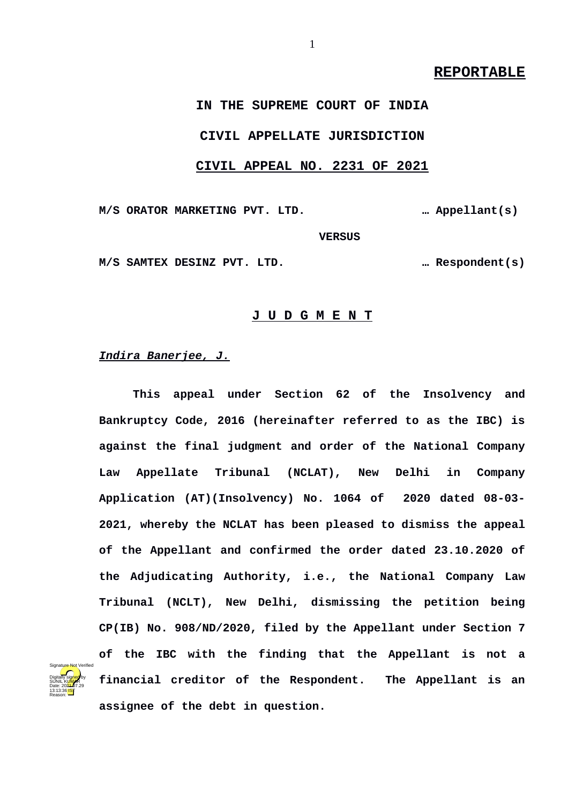# **REPORTABLE**

# **IN THE SUPREME COURT OF INDIA CIVIL APPELLATE JURISDICTION CIVIL APPEAL NO. 2231 OF 2021**

**M/S ORATOR MARKETING PVT. LTD. … Appellant(s) VERSUS M/S SAMTEX DESINZ PVT. LTD. … Respondent(s)**

**J U D G M E N T**

*Indira Banerjee, J.*

Digitally signed by SUNIL K<mark>UMA</mark>R Date: 2024-07.29 13:13:36 **IST** Reason:

Signature Not Verified

**This appeal under Section 62 of the Insolvency and Bankruptcy Code, 2016 (hereinafter referred to as the IBC) is against the final judgment and order of the National Company Law Appellate Tribunal (NCLAT), New Delhi in Company Application (AT)(Insolvency) No. 1064 of 2020 dated 08-03- 2021, whereby the NCLAT has been pleased to dismiss the appeal of the Appellant and confirmed the order dated 23.10.2020 of the Adjudicating Authority, i.e., the National Company Law Tribunal (NCLT), New Delhi, dismissing the petition being CP(IB) No. 908/ND/2020, filed by the Appellant under Section 7 of the IBC with the finding that the Appellant is not a financial creditor of the Respondent. The Appellant is an assignee of the debt in question.**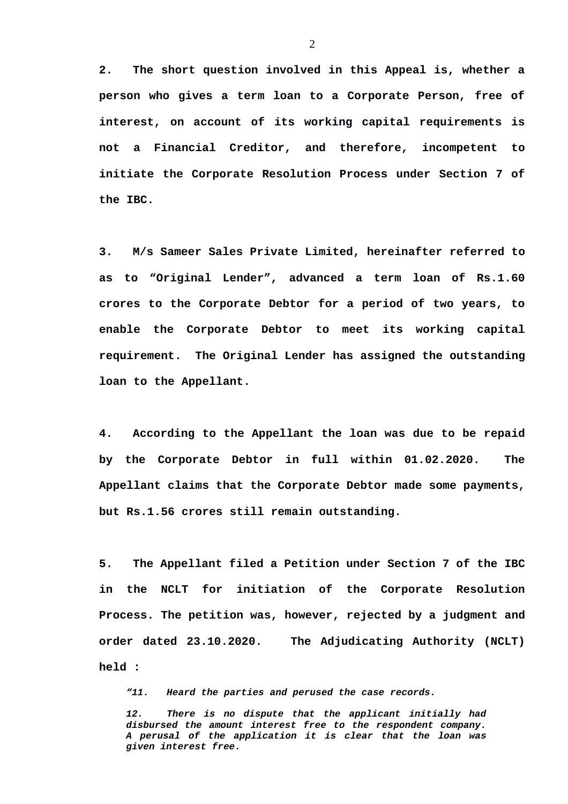**2. The short question involved in this Appeal is, whether a person who gives a term loan to a Corporate Person, free of interest, on account of its working capital requirements is not a Financial Creditor, and therefore, incompetent to initiate the Corporate Resolution Process under Section 7 of the IBC.** 

**3. M/s Sameer Sales Private Limited, hereinafter referred to as to "Original Lender", advanced a term loan of Rs.1.60 crores to the Corporate Debtor for a period of two years, to enable the Corporate Debtor to meet its working capital requirement. The Original Lender has assigned the outstanding loan to the Appellant.**

**4. According to the Appellant the loan was due to be repaid by the Corporate Debtor in full within 01.02.2020. The Appellant claims that the Corporate Debtor made some payments, but Rs.1.56 crores still remain outstanding.**

**5. The Appellant filed a Petition under Section 7 of the IBC in the NCLT for initiation of the Corporate Resolution Process. The petition was, however, rejected by a judgment and order dated 23.10.2020. The Adjudicating Authority (NCLT) held :**

*"11. Heard the parties and perused the case records.* 

*12. There is no dispute that the applicant initially had disbursed the amount interest free to the respondent company. A perusal of the application it is clear that the loan was given interest free.*

2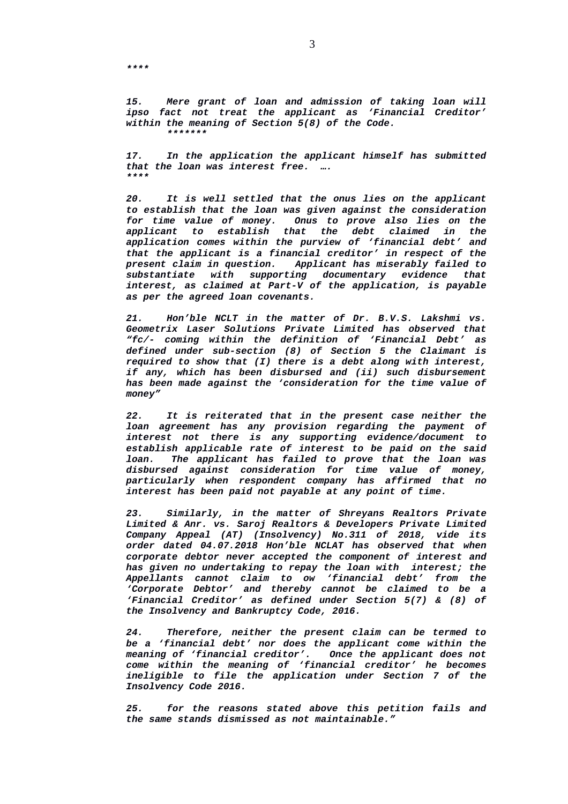*15. Mere grant of loan and admission of taking loan will ipso fact not treat the applicant as 'Financial Creditor' within the meaning of Section 5(8) of the Code. \*\*\*\*\*\*\**

*17. In the application the applicant himself has submitted that the loan was interest free. …. \*\*\*\**

*20. It is well settled that the onus lies on the applicant to establish that the loan was given against the consideration* **Onus to prove also lies on the** *applicant to establish that the debt claimed in the application comes within the purview of 'financial debt' and that the applicant is a financial creditor' in respect of the present claim in question. Applicant has miserably failed to substantiate with supporting documentary evidence that interest, as claimed at Part-V of the application, is payable as per the agreed loan covenants.*

*21. Hon'ble NCLT in the matter of Dr. B.V.S. Lakshmi vs. Geometrix Laser Solutions Private Limited has observed that "fc/- coming within the definition of 'Financial Debt' as defined under sub-section (8) of Section 5 the Claimant is required to show that (I) there is a debt along with interest, if any, which has been disbursed and (ii) such disbursement has been made against the 'consideration for the time value of money"*

*22. It is reiterated that in the present case neither the loan agreement has any provision regarding the payment of interest not there is any supporting evidence/document to establish applicable rate of interest to be paid on the said loan. The applicant has failed to prove that the loan was disbursed against consideration for time value of money, particularly when respondent company has affirmed that no interest has been paid not payable at any point of time.*

*23. Similarly, in the matter of Shreyans Realtors Private Limited & Anr. vs. Saroj Realtors & Developers Private Limited Company Appeal (AT) (Insolvency) No.311 of 2018, vide its order dated 04.07.2018 Hon'ble NCLAT has observed that when corporate debtor never accepted the component of interest and has given no undertaking to repay the loan with interest; the Appellants cannot claim to ow 'financial debt' from the 'Corporate Debtor' and thereby cannot be claimed to be a 'Financial Creditor' as defined under Section 5(7) & (8) of the Insolvency and Bankruptcy Code, 2016.*

*24. Therefore, neither the present claim can be termed to be a 'financial debt' nor does the applicant come within the meaning of 'financial creditor'. Once the applicant does not come within the meaning of 'financial creditor' he becomes ineligible to file the application under Section 7 of the Insolvency Code 2016.*

*25. for the reasons stated above this petition fails and the same stands dismissed as not maintainable."*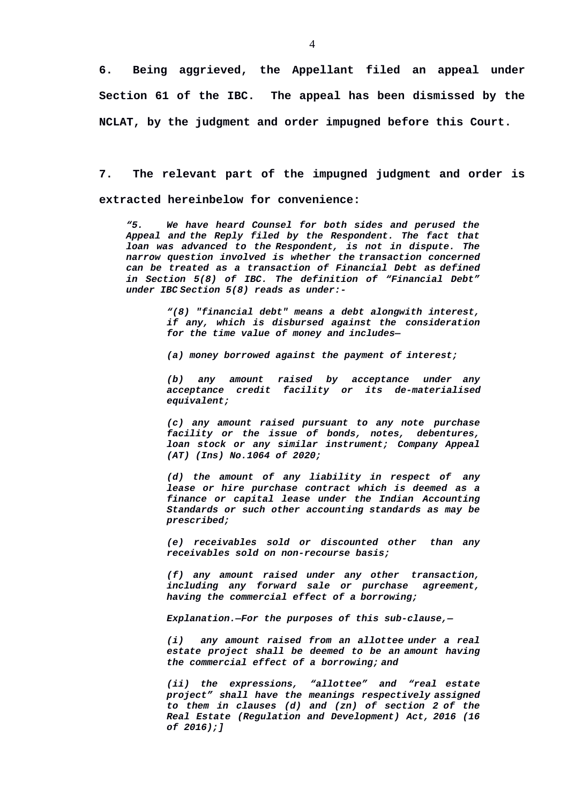**6. Being aggrieved, the Appellant filed an appeal under Section 61 of the IBC. The appeal has been dismissed by the NCLAT, by the judgment and order impugned before this Court.** 

**7. The relevant part of the impugned judgment and order is extracted hereinbelow for convenience:**

*"5. We have heard Counsel for both sides and perused the Appeal and the Reply filed by the Respondent. The fact that loan was advanced to the Respondent, is not in dispute. The narrow question involved is whether the transaction concerned can be treated as a transaction of Financial Debt as defined in Section 5(8) of IBC. The definition of "Financial Debt" under IBC Section 5(8) reads as under:-*

> *"(8) "financial debt" means a debt alongwith interest, if any, which is disbursed against the consideration for the time value of money and includes—*

*(a) money borrowed against the payment of interest;* 

*(b) any amount raised by acceptance under any acceptance credit facility or its de-materialised equivalent;* 

*(c) any amount raised pursuant to any note purchase facility or the issue of bonds, notes, debentures, loan stock or any similar instrument; Company Appeal (AT) (Ins) No.1064 of 2020;* 

*(d) the amount of any liability in respect of any lease or hire purchase contract which is deemed as a finance or capital lease under the Indian Accounting Standards or such other accounting standards as may be prescribed;* 

*(e) receivables sold or discounted other than any receivables sold on non-recourse basis;* 

*(f) any amount raised under any other transaction, including any forward sale or purchase agreement, having the commercial effect of a borrowing;* 

*Explanation.—For the purposes of this sub-clause,—*

*(i) any amount raised from an allottee under a real estate project shall be deemed to be an amount having the commercial effect of a borrowing; and*

*(ii) the expressions, "allottee" and "real estate project" shall have the meanings respectively assigned to them in clauses (d) and (zn) of section 2 of the Real Estate (Regulation and Development) Act, 2016 (16 of 2016);]*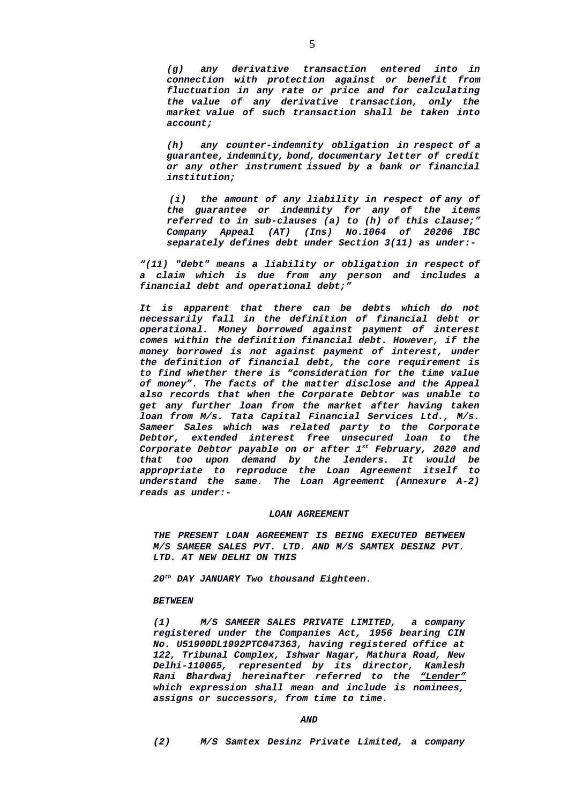*(g) any derivative transaction entered into in connection with protection against or benefit from fluctuation in any rate or price and for calculating the value of any derivative transaction, only the market value of such transaction shall be taken into account;*

*(h) any counter-indemnity obligation in respect of a guarantee, indemnity, bond, documentary letter of credit or any other instrument issued by a bank or financial institution;*

*(i) the amount of any liability in respect of any of the guarantee or indemnity for any of the items referred to in sub-clauses (a) to (h) of this clause;" Company Appeal (AT) (Ins) No.1064 of 20206 IBC separately defines debt under Section 3(11) as under:-*

*"(11) "debt" means a liability or obligation in respect of a claim which is due from any person and includes a financial debt and operational debt;"*

*It is apparent that there can be debts which do not necessarily fall in the definition of financial debt or operational. Money borrowed against payment of interest comes within the definition financial debt. However, if the money borrowed is not against payment of interest, under the definition of financial debt, the core requirement is to find whether there is "consideration for the time value of money". The facts of the matter disclose and the Appeal also records that when the Corporate Debtor was unable to get any further loan from the market after having taken loan from M/s. Tata Capital Financial Services Ltd., M/s. Sameer Sales which was related party to the Corporate Debtor, extended interest free unsecured loan to the Corporate Debtor payable on or after 1st February, 2020 and that too upon demand by the lenders. It would be appropriate to reproduce the Loan Agreement itself to understand the same. The Loan Agreement (Annexure A-2) reads as under:-*

### *LOAN AGREEMENT*

*THE PRESENT LOAN AGREEMENT IS BEING EXECUTED BETWEEN M/S SAMEER SALES PVT. LTD. AND M/S SAMTEX DESINZ PVT. LTD. AT NEW DELHI ON THIS* 

*20th DAY JANUARY Two thousand Eighteen.*

## *BETWEEN*

*(1) M/S SAMEER SALES PRIVATE LIMITED, a company registered under the Companies Act, 1956 bearing CIN No. U51900DL1992PTC047363, having registered office at 122, Tribunal Complex, Ishwar Nagar, Mathura Road, New Delhi-110065, represented by its director, Kamlesh Rani Bhardwaj hereinafter referred to the "Lender" which expression shall mean and include is nominees, assigns or successors, from time to time.*

#### *AND*

*(2) M/S Samtex Desinz Private Limited, a company*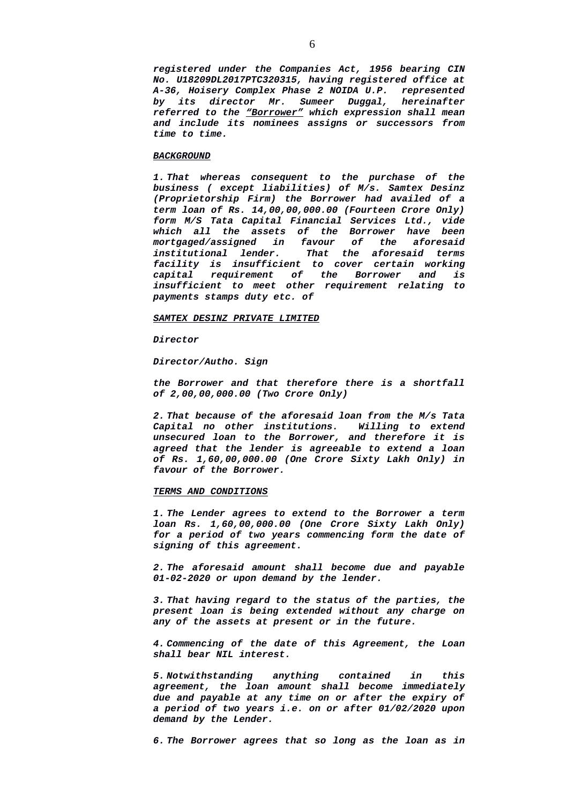*registered under the Companies Act, 1956 bearing CIN No. U18209DL2017PTC320315, having registered office at A-36, Hoisery Complex Phase 2 NOIDA U.P. represented by its director Mr. Sumeer Duggal, hereinafter referred to the "Borrower" which expression shall mean and include its nominees assigns or successors from time to time.*

## *BACKGROUND*

*1. That whereas consequent to the purchase of the business ( except liabilities) of M/s. Samtex Desinz (Proprietorship Firm) the Borrower had availed of a term loan of Rs. 14,00,00,000.00 (Fourteen Crore Only) form M/S Tata Capital Financial Services Ltd., vide which all the assets of the Borrower have been mortgaged/assigned in favour of the aforesaid institutional lender. That the aforesaid terms facility is insufficient to cover certain working capital requirement of the Borrower and is insufficient to meet other requirement relating to payments stamps duty etc. of*

#### *SAMTEX DESINZ PRIVATE LIMITED*

*Director*

*Director/Autho. Sign*

*the Borrower and that therefore there is a shortfall of 2,00,00,000.00 (Two Crore Only)*

*2. That because of the aforesaid loan from the M/s Tata Capital no other institutions. Willing to extend unsecured loan to the Borrower, and therefore it is agreed that the lender is agreeable to extend a loan of Rs. 1,60,00,000.00 (One Crore Sixty Lakh Only) in favour of the Borrower.*

#### *TERMS AND CONDITIONS*

*1. The Lender agrees to extend to the Borrower a term loan Rs. 1,60,00,000.00 (One Crore Sixty Lakh Only) for a period of two years commencing form the date of signing of this agreement.*

*2. The aforesaid amount shall become due and payable 01-02-2020 or upon demand by the lender.*

*3. That having regard to the status of the parties, the present loan is being extended without any charge on any of the assets at present or in the future.*

*4. Commencing of the date of this Agreement, the Loan shall bear NIL interest.*

*5. Notwithstanding anything contained in this agreement, the loan amount shall become immediately due and payable at any time on or after the expiry of a period of two years i.e. on or after 01/02/2020 upon demand by the Lender.*

*6. The Borrower agrees that so long as the loan as in*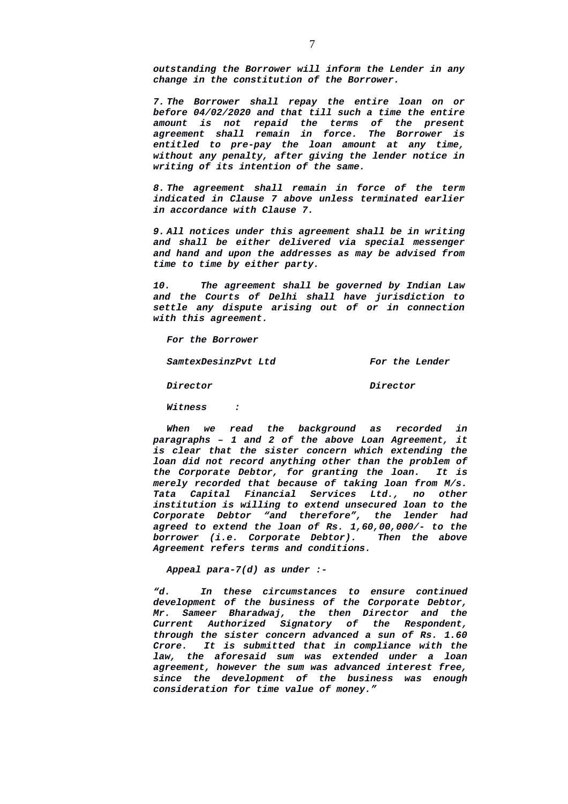*outstanding the Borrower will inform the Lender in any change in the constitution of the Borrower.*

*7. The Borrower shall repay the entire loan on or before 04/02/2020 and that till such a time the entire amount is not repaid the terms of the present agreement shall remain in force. The Borrower is entitled to pre-pay the loan amount at any time, without any penalty, after giving the lender notice in writing of its intention of the same.*

*8. The agreement shall remain in force of the term indicated in Clause 7 above unless terminated earlier in accordance with Clause 7.*

*9. All notices under this agreement shall be in writing and shall be either delivered via special messenger and hand and upon the addresses as may be advised from time to time by either party.*

*10. The agreement shall be governed by Indian Law and the Courts of Delhi shall have jurisdiction to settle any dispute arising out of or in connection with this agreement.*

*For the Borrower*

*SamtexDesinzPvt Ltd For the Lender*

*Director Director*

*Witness :*

*When we read the background as recorded in paragraphs – 1 and 2 of the above Loan Agreement, it is clear that the sister concern which extending the loan did not record anything other than the problem of the Corporate Debtor, for granting the loan. It is merely recorded that because of taking loan from M/s. Tata Capital Financial Services Ltd., no other institution is willing to extend unsecured loan to the Corporate Debtor "and therefore", the lender had agreed to extend the loan of Rs. 1,60,00,000/- to the borrower (i.e. Corporate Debtor). Agreement refers terms and conditions.* 

*Appeal para-7(d) as under :-*

*"d. In these circumstances to ensure continued development of the business of the Corporate Debtor, Mr. Sameer Bharadwaj, the then Director and the Current Authorized Signatory of the Respondent, through the sister concern advanced a sun of Rs. 1.60 Crore. It is submitted that in compliance with the law, the aforesaid sum was extended under a loan agreement, however the sum was advanced interest free, since the development of the business was enough consideration for time value of money."*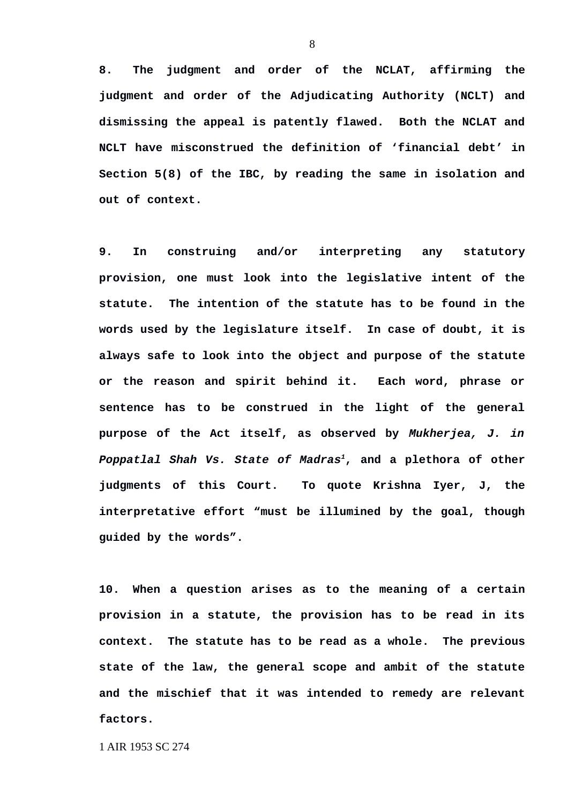**8. The judgment and order of the NCLAT, affirming the judgment and order of the Adjudicating Authority (NCLT) and dismissing the appeal is patently flawed. Both the NCLAT and NCLT have misconstrued the definition of 'financial debt' in Section 5(8) of the IBC, by reading the same in isolation and out of context.**

**9. In construing and/or interpreting any statutory provision, one must look into the legislative intent of the statute. The intention of the statute has to be found in the words used by the legislature itself. In case of doubt, it is always safe to look into the object and purpose of the statute or the reason and spirit behind it. Each word, phrase or sentence has to be construed in the light of the general purpose of the Act itself, as observed by** *Mukherjea, J. in Poppatlal Shah Vs. State of Madras[1](#page-7-0)***, and a plethora of other judgments of this Court. To quote Krishna Iyer, J, the interpretative effort "must be illumined by the goal, though guided by the words".** 

**10. When a question arises as to the meaning of a certain provision in a statute, the provision has to be read in its context. The statute has to be read as a whole. The previous state of the law, the general scope and ambit of the statute and the mischief that it was intended to remedy are relevant factors.** 

<span id="page-7-0"></span>1 AIR 1953 SC 274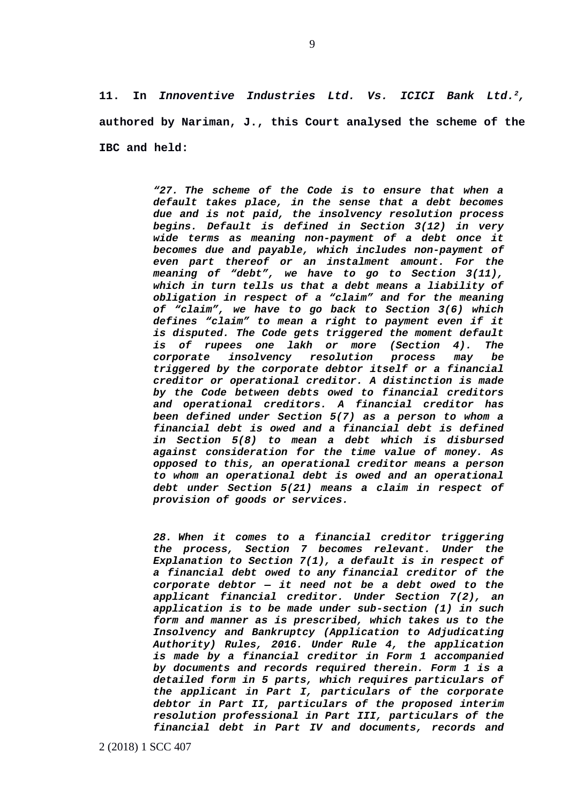**11. In** *Innoventive Industries Ltd. Vs. ICICI Bank Ltd.[2](#page-8-0),* **authored by Nariman, J., this Court analysed the scheme of the IBC and held:**

> *"27. The scheme of the Code is to ensure that when a default takes place, in the sense that a debt becomes due and is not paid, the insolvency resolution process begins. Default is defined in Section 3(12) in very wide terms as meaning non-payment of a debt once it becomes due and payable, which includes non-payment of even part thereof or an instalment amount. For the meaning of "debt", we have to go to Section 3(11), which in turn tells us that a debt means a liability of obligation in respect of a "claim" and for the meaning of "claim", we have to go back to Section 3(6) which defines "claim" to mean a right to payment even if it is disputed. The Code gets triggered the moment default is of rupees one lakh or more (Section 4). The corporate insolvency resolution process may be triggered by the corporate debtor itself or a financial creditor or operational creditor. A distinction is made by the Code between debts owed to financial creditors and operational creditors. A financial creditor has been defined under Section 5(7) as a person to whom a financial debt is owed and a financial debt is defined in Section 5(8) to mean a debt which is disbursed against consideration for the time value of money. As opposed to this, an operational creditor means a person to whom an operational debt is owed and an operational debt under Section 5(21) means a claim in respect of provision of goods or services.*

> <span id="page-8-0"></span>*28. When it comes to a financial creditor triggering the process, Section 7 becomes relevant. Under the Explanation to Section 7(1), a default is in respect of a financial debt owed to any financial creditor of the corporate debtor — it need not be a debt owed to the applicant financial creditor. Under Section 7(2), an application is to be made under sub-section (1) in such form and manner as is prescribed, which takes us to the Insolvency and Bankruptcy (Application to Adjudicating Authority) Rules, 2016. Under Rule 4, the application is made by a financial creditor in Form 1 accompanied by documents and records required therein. Form 1 is a detailed form in 5 parts, which requires particulars of the applicant in Part I, particulars of the corporate debtor in Part II, particulars of the proposed interim resolution professional in Part III, particulars of the financial debt in Part IV and documents, records and*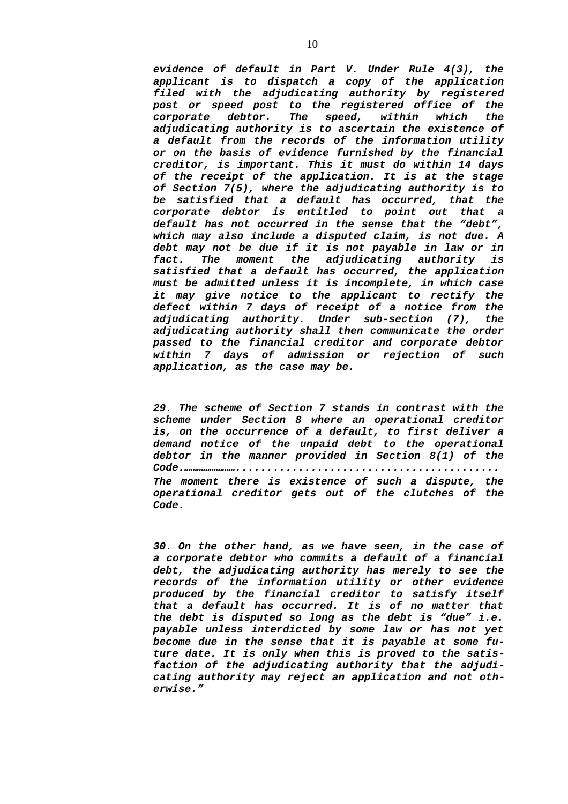*evidence of default in Part V. Under Rule 4(3), the applicant is to dispatch a copy of the application filed with the adjudicating authority by registered post or speed post to the registered office of the corporate debtor. The speed, within which the adjudicating authority is to ascertain the existence of a default from the records of the information utility or on the basis of evidence furnished by the financial creditor, is important. This it must do within 14 days of the receipt of the application. It is at the stage of Section 7(5), where the adjudicating authority is to be satisfied that a default has occurred, that the corporate debtor is entitled to point out that a default has not occurred in the sense that the "debt", which may also include a disputed claim, is not due. A debt may not be due if it is not payable in law or in fact. The moment the adjudicating authority is satisfied that a default has occurred, the application must be admitted unless it is incomplete, in which case it may give notice to the applicant to rectify the defect within 7 days of receipt of a notice from the adjudicating authority. Under sub-section (7), the adjudicating authority shall then communicate the order passed to the financial creditor and corporate debtor within 7 days of admission or rejection of such application, as the case may be.*

*29. The scheme of Section 7 stands in contrast with the scheme under Section 8 where an operational creditor is, on the occurrence of a default, to first deliver a demand notice of the unpaid debt to the operational debtor in the manner provided in Section 8(1) of the Code.…………………….......................................... The moment there is existence of such a dispute, the operational creditor gets out of the clutches of the Code.*

*30. On the other hand, as we have seen, in the case of a corporate debtor who commits a default of a financial debt, the adjudicating authority has merely to see the records of the information utility or other evidence produced by the financial creditor to satisfy itself that a default has occurred. It is of no matter that the debt is disputed so long as the debt is "due" i.e. payable unless interdicted by some law or has not yet become due in the sense that it is payable at some future date. It is only when this is proved to the satisfaction of the adjudicating authority that the adjudicating authority may reject an application and not otherwise."*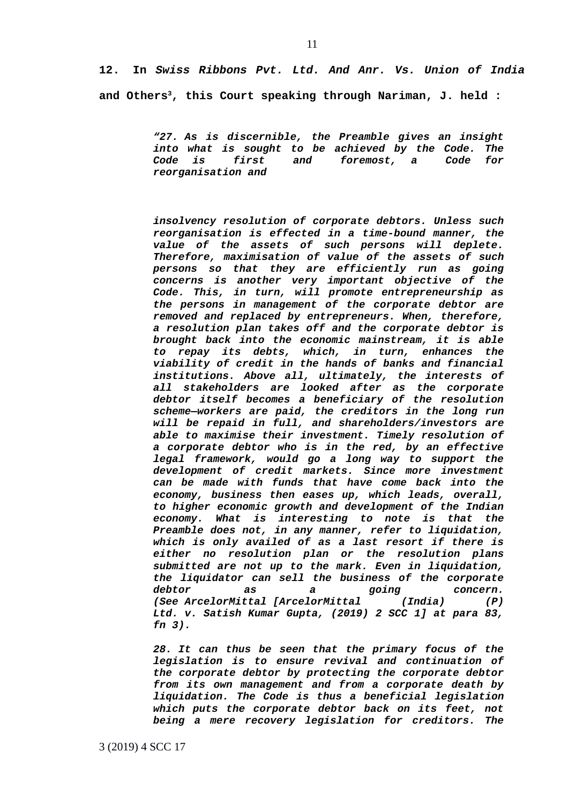**12. In** *Swiss Ribbons Pvt. Ltd. And Anr. Vs. Union of India* **and Others[3](#page-10-0), this Court speaking through Nariman, J. held :**

> *"27. As is discernible, the Preamble gives an insight into what is sought to be achieved by the Code. The Code is first and foremost, a Code for reorganisation and*

> *insolvency resolution of corporate debtors. Unless such reorganisation is effected in a time-bound manner, the value of the assets of such persons will deplete. Therefore, maximisation of value of the assets of such persons so that they are efficiently run as going concerns is another very important objective of the Code. This, in turn, will promote entrepreneurship as the persons in management of the corporate debtor are removed and replaced by entrepreneurs. When, therefore, a resolution plan takes off and the corporate debtor is brought back into the economic mainstream, it is able to repay its debts, which, in turn, enhances the viability of credit in the hands of banks and financial institutions. Above all, ultimately, the interests of all stakeholders are looked after as the corporate debtor itself becomes a beneficiary of the resolution scheme—workers are paid, the creditors in the long run will be repaid in full, and shareholders/investors are able to maximise their investment. Timely resolution of a corporate debtor who is in the red, by an effective legal framework, would go a long way to support the development of credit markets. Since more investment can be made with funds that have come back into the economy, business then eases up, which leads, overall, to higher economic growth and development of the Indian economy. What is interesting to note is that the Preamble does not, in any manner, refer to liquidation, which is only availed of as a last resort if there is either no resolution plan or the resolution plans submitted are not up to the mark. Even in liquidation, the liquidator can sell the business of the corporate debtor as a going concern. (See ArcelorMittal [ArcelorMittal (India) (P) Ltd. v. Satish Kumar Gupta, (2019) 2 SCC 1] at para 83, fn 3).*

> <span id="page-10-0"></span>*28. It can thus be seen that the primary focus of the legislation is to ensure revival and continuation of the corporate debtor by protecting the corporate debtor from its own management and from a corporate death by liquidation. The Code is thus a beneficial legislation which puts the corporate debtor back on its feet, not being a mere recovery legislation for creditors. The*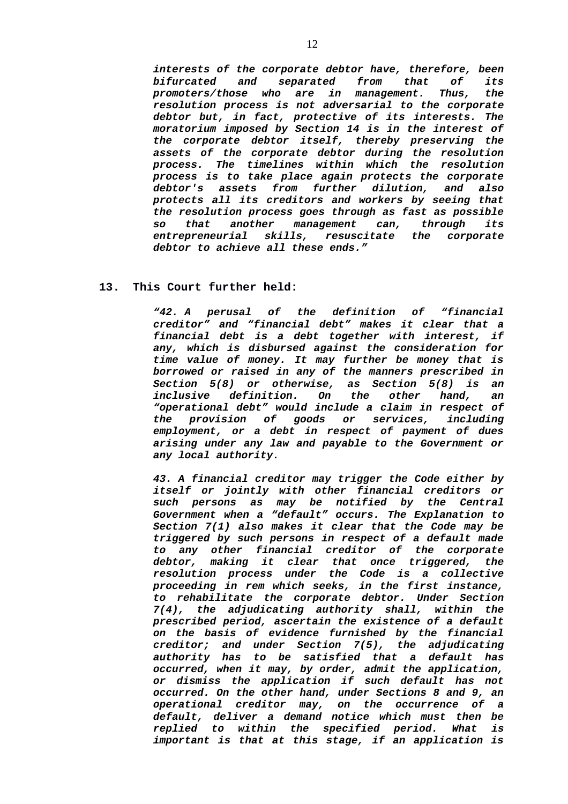*interests of the corporate debtor have, therefore, been bifurcated and separated from that of its promoters/those who are in management. Thus, the resolution process is not adversarial to the corporate debtor but, in fact, protective of its interests. The moratorium imposed by Section 14 is in the interest of the corporate debtor itself, thereby preserving the assets of the corporate debtor during the resolution process. The timelines within which the resolution process is to take place again protects the corporate debtor's assets from further dilution, and also protects all its creditors and workers by seeing that the resolution process goes through as fast as possible so that another management can, through its entrepreneurial skills, resuscitate the corporate debtor to achieve all these ends."*

# **13. This Court further held:**

*"42. A perusal of the definition of "financial creditor" and "financial debt" makes it clear that a financial debt is a debt together with interest, if any, which is disbursed against the consideration for time value of money. It may further be money that is borrowed or raised in any of the manners prescribed in Section 5(8) or otherwise, as Section 5(8) is an inclusive definition. On the other hand, an "operational debt" would include a claim in respect of the provision of goods or services, including employment, or a debt in respect of payment of dues arising under any law and payable to the Government or any local authority.* 

*43. A financial creditor may trigger the Code either by itself or jointly with other financial creditors or such persons as may be notified by the Central Government when a "default" occurs. The Explanation to Section 7(1) also makes it clear that the Code may be triggered by such persons in respect of a default made to any other financial creditor of the corporate debtor, making it clear that once triggered, the resolution process under the Code is a collective proceeding in rem which seeks, in the first instance, to rehabilitate the corporate debtor. Under Section 7(4), the adjudicating authority shall, within the prescribed period, ascertain the existence of a default on the basis of evidence furnished by the financial creditor; and under Section 7(5), the adjudicating authority has to be satisfied that a default has occurred, when it may, by order, admit the application, or dismiss the application if such default has not occurred. On the other hand, under Sections 8 and 9, an operational creditor may, on the occurrence of a default, deliver a demand notice which must then be replied to within the specified period. What is important is that at this stage, if an application is*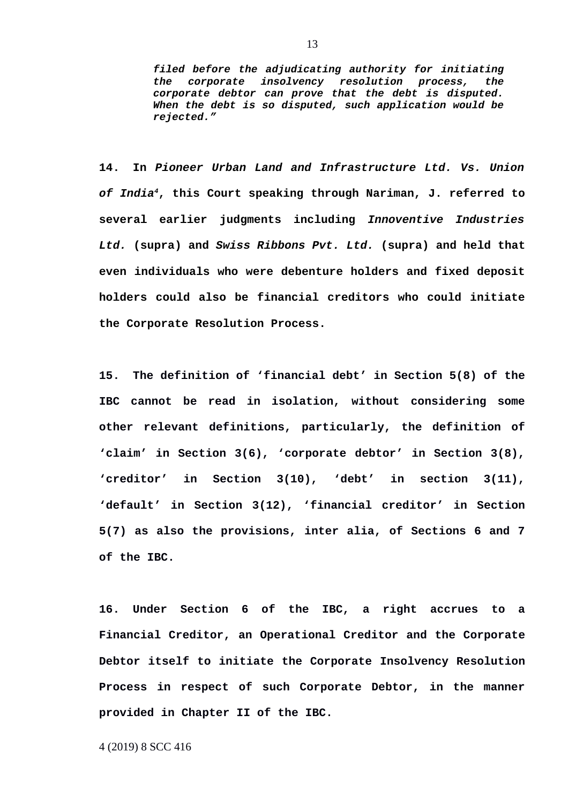*filed before the adjudicating authority for initiating the corporate insolvency resolution process, the corporate debtor can prove that the debt is disputed. When the debt is so disputed, such application would be rejected."*

**14. In** *Pioneer Urban Land and Infrastructure Ltd. Vs. Union of India[4](#page-12-0)***, this Court speaking through Nariman, J. referred to several earlier judgments including** *Innoventive Industries Ltd.* **(supra) and** *Swiss Ribbons Pvt. Ltd.* **(supra) and held that even individuals who were debenture holders and fixed deposit holders could also be financial creditors who could initiate the Corporate Resolution Process.** 

**15. The definition of 'financial debt' in Section 5(8) of the IBC cannot be read in isolation, without considering some other relevant definitions, particularly, the definition of 'claim' in Section 3(6), 'corporate debtor' in Section 3(8), 'creditor' in Section 3(10), 'debt' in section 3(11), 'default' in Section 3(12), 'financial creditor' in Section 5(7) as also the provisions, inter alia, of Sections 6 and 7 of the IBC.** 

**16. Under Section 6 of the IBC, a right accrues to a Financial Creditor, an Operational Creditor and the Corporate Debtor itself to initiate the Corporate Insolvency Resolution Process in respect of such Corporate Debtor, in the manner provided in Chapter II of the IBC.** 

<span id="page-12-0"></span>4 (2019) 8 SCC 416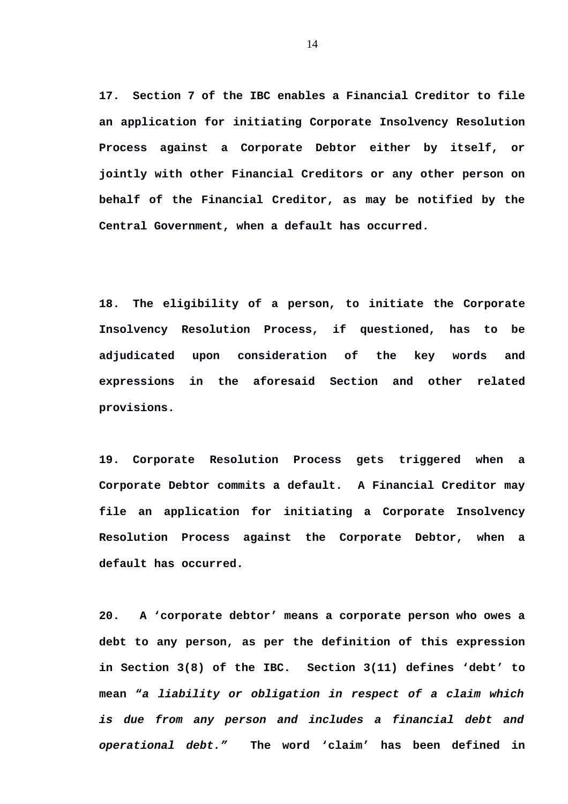**17. Section 7 of the IBC enables a Financial Creditor to file an application for initiating Corporate Insolvency Resolution Process against a Corporate Debtor either by itself, or jointly with other Financial Creditors or any other person on behalf of the Financial Creditor, as may be notified by the Central Government, when a default has occurred.** 

**18. The eligibility of a person, to initiate the Corporate Insolvency Resolution Process, if questioned, has to be adjudicated upon consideration of the key words and expressions in the aforesaid Section and other related provisions.** 

**19. Corporate Resolution Process gets triggered when a Corporate Debtor commits a default. A Financial Creditor may file an application for initiating a Corporate Insolvency Resolution Process against the Corporate Debtor, when a default has occurred.** 

**20. A 'corporate debtor' means a corporate person who owes a debt to any person, as per the definition of this expression in Section 3(8) of the IBC. Section 3(11) defines 'debt' to mean "***a liability or obligation in respect of a claim which is due from any person and includes a financial debt and operational debt."* **The word 'claim' has been defined in**

14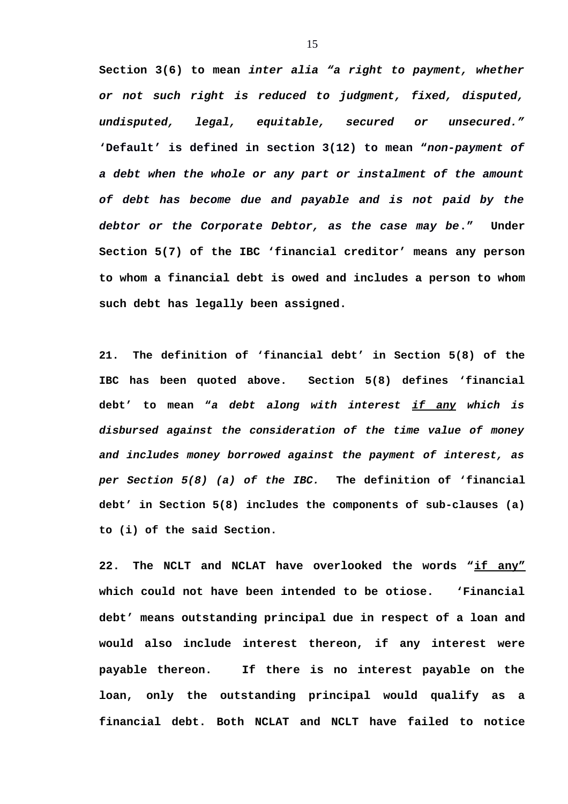**Section 3(6) to mean** *inter alia "a right to payment, whether or not such right is reduced to judgment, fixed, disputed, undisputed, legal, equitable, secured or unsecured."* **'Default' is defined in section 3(12) to mean "***non-payment of a debt when the whole or any part or instalment of the amount of debt has become due and payable and is not paid by the debtor or the Corporate Debtor, as the case may be***." Under Section 5(7) of the IBC 'financial creditor' means any person to whom a financial debt is owed and includes a person to whom such debt has legally been assigned.** 

**21. The definition of 'financial debt' in Section 5(8) of the IBC has been quoted above. Section 5(8) defines 'financial debt' to mean "***a debt along with interest if any which is disbursed against the consideration of the time value of money and includes money borrowed against the payment of interest, as per Section 5(8) (a) of the IBC.* **The definition of 'financial debt' in Section 5(8) includes the components of sub-clauses (a) to (i) of the said Section.** 

**22. The NCLT and NCLAT have overlooked the words "if any" which could not have been intended to be otiose. 'Financial debt' means outstanding principal due in respect of a loan and would also include interest thereon, if any interest were payable thereon. If there is no interest payable on the loan, only the outstanding principal would qualify as a financial debt. Both NCLAT and NCLT have failed to notice**

15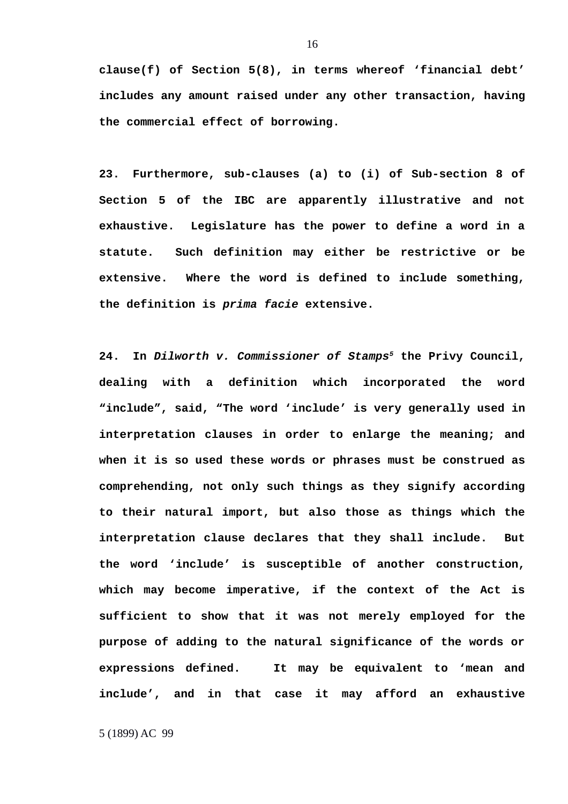**clause(f) of Section 5(8), in terms whereof 'financial debt' includes any amount raised under any other transaction, having the commercial effect of borrowing.** 

**23. Furthermore, sub-clauses (a) to (i) of Sub-section 8 of Section 5 of the IBC are apparently illustrative and not exhaustive. Legislature has the power to define a word in a statute. Such definition may either be restrictive or be extensive. Where the word is defined to include something, the definition is** *prima facie* **extensive.** 

**24. In** *Dilworth v. Commissioner of Stamps[5](#page-15-0)* **the Privy Council, dealing with a definition which incorporated the word "include", said, "The word 'include' is very generally used in interpretation clauses in order to enlarge the meaning; and when it is so used these words or phrases must be construed as comprehending, not only such things as they signify according to their natural import, but also those as things which the interpretation clause declares that they shall include. But the word 'include' is susceptible of another construction, which may become imperative, if the context of the Act is sufficient to show that it was not merely employed for the purpose of adding to the natural significance of the words or expressions defined. It may be equivalent to 'mean and include', and in that case it may afford an exhaustive**

<span id="page-15-0"></span>5 (1899) AC 99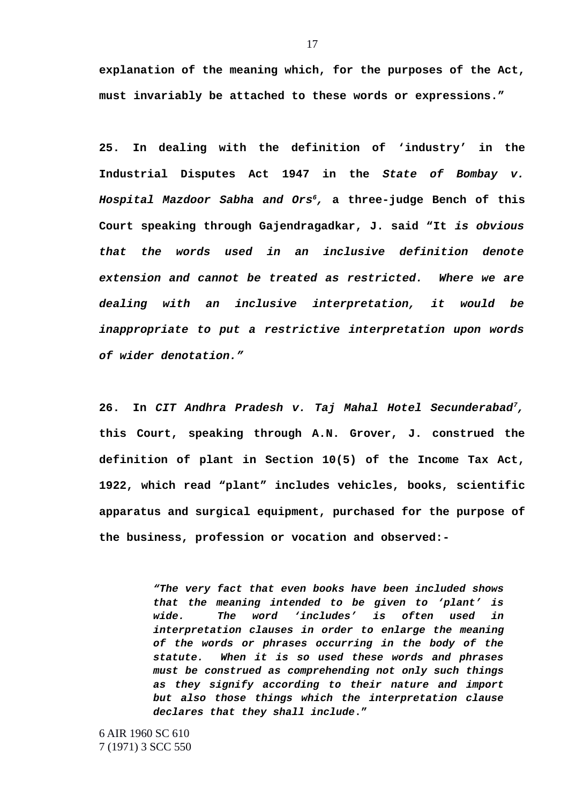**explanation of the meaning which, for the purposes of the Act, must invariably be attached to these words or expressions."**

**25. In dealing with the definition of 'industry' in the Industrial Disputes Act 1947 in the** *State of Bombay v. Hospital Mazdoor Sabha and Ors[6](#page-16-0),* **a three-judge Bench of this Court speaking through Gajendragadkar, J. said "It** *is obvious that the words used in an inclusive definition denote extension and cannot be treated as restricted. Where we are dealing with an inclusive interpretation, it would be inappropriate to put a restrictive interpretation upon words of wider denotation."* 

**26. In** *CIT Andhra Pradesh v. Taj Mahal Hotel Secunderabad[7](#page-16-1),* **this Court, speaking through A.N. Grover, J. construed the definition of plant in Section 10(5) of the Income Tax Act, 1922, which read "plant" includes vehicles, books, scientific apparatus and surgical equipment, purchased for the purpose of the business, profession or vocation and observed:-**

> *"The very fact that even books have been included shows that the meaning intended to be given to 'plant' is wide. The word 'includes' is often used in interpretation clauses in order to enlarge the meaning of the words or phrases occurring in the body of the statute. When it is so used these words and phrases must be construed as comprehending not only such things as they signify according to their nature and import but also those things which the interpretation clause declares that they shall include***."**

<span id="page-16-1"></span><span id="page-16-0"></span>6 AIR 1960 SC 610 7 (1971) 3 SCC 550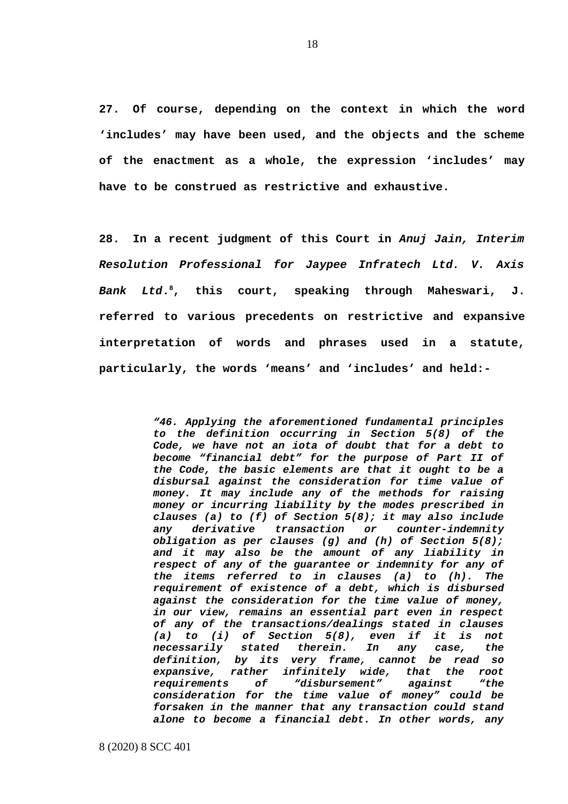**27. Of course, depending on the context in which the word 'includes' may have been used, and the objects and the scheme of the enactment as a whole, the expression 'includes' may have to be construed as restrictive and exhaustive.** 

**28. In a recent judgment of this Court in** *Anuj Jain, Interim Resolution Professional for Jaypee Infratech Ltd. V. Axis Bank Ltd***. [8](#page-17-0), this court, speaking through Maheswari, J. referred to various precedents on restrictive and expansive interpretation of words and phrases used in a statute, particularly, the words 'means' and 'includes' and held:-**

> *"46. Applying the aforementioned fundamental principles to the definition occurring in Section 5(8) of the Code, we have not an iota of doubt that for a debt to become "financial debt" for the purpose of Part II of the Code, the basic elements are that it ought to be a disbursal against the consideration for time value of money. It may include any of the methods for raising money or incurring liability by the modes prescribed in clauses (a) to (f) of Section 5(8); it may also include any derivative transaction or counter-indemnity obligation as per clauses (g) and (h) of Section 5(8); and it may also be the amount of any liability in respect of any of the guarantee or indemnity for any of the items referred to in clauses (a) to (h). The requirement of existence of a debt, which is disbursed against the consideration for the time value of money, in our view, remains an essential part even in respect of any of the transactions/dealings stated in clauses (a) to (i) of Section 5(8), even if it is not necessarily stated therein. In any case, the definition, by its very frame, cannot be read so expansive, rather infinitely wide, that the root requirements of "disbursement" against "the consideration for the time value of money" could be forsaken in the manner that any transaction could stand alone to become a financial debt. In other words, any*

<span id="page-17-0"></span>8 (2020) 8 SCC 401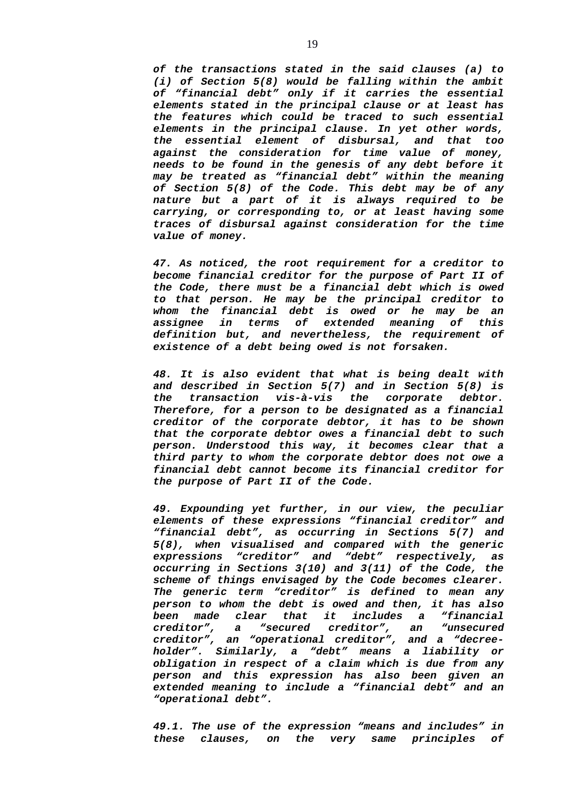*of the transactions stated in the said clauses (a) to (i) of Section 5(8) would be falling within the ambit of "financial debt" only if it carries the essential elements stated in the principal clause or at least has the features which could be traced to such essential elements in the principal clause. In yet other words, the essential element of disbursal, and that too against the consideration for time value of money, needs to be found in the genesis of any debt before it may be treated as "financial debt" within the meaning of Section 5(8) of the Code. This debt may be of any nature but a part of it is always required to be carrying, or corresponding to, or at least having some traces of disbursal against consideration for the time value of money.*

*47. As noticed, the root requirement for a creditor to become financial creditor for the purpose of Part II of the Code, there must be a financial debt which is owed to that person. He may be the principal creditor to whom the financial debt is owed or he may be an assignee in terms of extended meaning of this definition but, and nevertheless, the requirement of existence of a debt being owed is not forsaken.*

*48. It is also evident that what is being dealt with and described in Section 5(7) and in Section 5(8) is the transaction vis-à-vis the corporate debtor. Therefore, for a person to be designated as a financial creditor of the corporate debtor, it has to be shown that the corporate debtor owes a financial debt to such person. Understood this way, it becomes clear that a third party to whom the corporate debtor does not owe a financial debt cannot become its financial creditor for the purpose of Part II of the Code.*

*49. Expounding yet further, in our view, the peculiar elements of these expressions "financial creditor" and "financial debt", as occurring in Sections 5(7) and 5(8), when visualised and compared with the generic expressions "creditor" and "debt" respectively, as occurring in Sections 3(10) and 3(11) of the Code, the scheme of things envisaged by the Code becomes clearer. The generic term "creditor" is defined to mean any person to whom the debt is owed and then, it has also been made clear that it includes a*<br>creditor", a "secured creditor", an *creditor", a "secured creditor", an "unsecured creditor", an "operational creditor", and a "decreeholder". Similarly, a "debt" means a liability or obligation in respect of a claim which is due from any person and this expression has also been given an extended meaning to include a "financial debt" and an "operational debt".*

*49.1. The use of the expression "means and includes" in these clauses, on the very same principles of*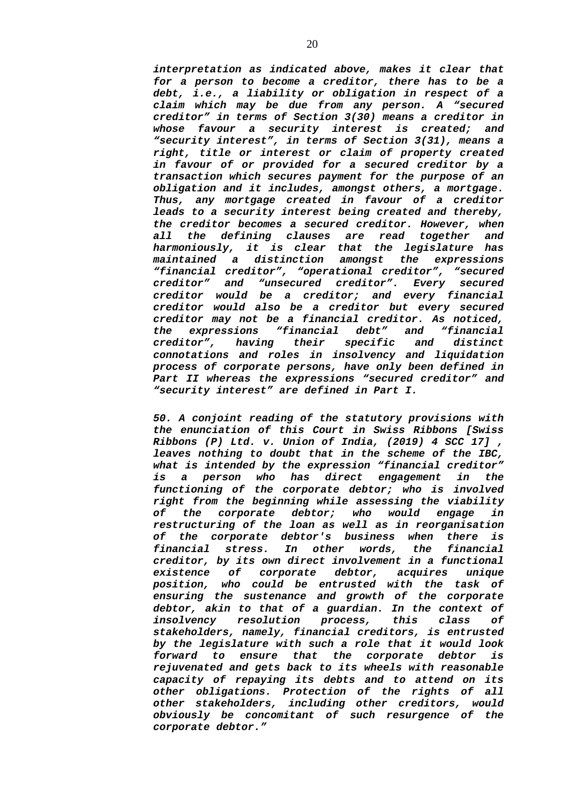*interpretation as indicated above, makes it clear that for a person to become a creditor, there has to be a debt, i.e., a liability or obligation in respect of a claim which may be due from any person. A "secured creditor" in terms of Section 3(30) means a creditor in whose favour a security interest is created; and "security interest", in terms of Section 3(31), means a right, title or interest or claim of property created in favour of or provided for a secured creditor by a transaction which secures payment for the purpose of an obligation and it includes, amongst others, a mortgage. Thus, any mortgage created in favour of a creditor leads to a security interest being created and thereby, the creditor becomes a secured creditor. However, when all the defining clauses are read together and harmoniously, it is clear that the legislature has maintained a distinction amongst the expressions "financial creditor", "operational creditor", "secured creditor"* and "unsecured creditor". Every *creditor would be a creditor; and every financial creditor would also be a creditor but every secured creditor may not be a financial creditor. As noticed, the expressions "financial debt" and "financial creditor", having their specific and distinct connotations and roles in insolvency and liquidation process of corporate persons, have only been defined in Part II whereas the expressions "secured creditor" and "security interest" are defined in Part I.*

*50. A conjoint reading of the statutory provisions with the enunciation of this Court in Swiss Ribbons [Swiss Ribbons (P) Ltd. v. Union of India, (2019) 4 SCC 17] , leaves nothing to doubt that in the scheme of the IBC, what is intended by the expression "financial creditor" is a person who has direct engagement in the functioning of the corporate debtor; who is involved right from the beginning while assessing the viability of the corporate debtor; who would engage in restructuring of the loan as well as in reorganisation of the corporate debtor's business when there is financial stress. In other words, the financial creditor, by its own direct involvement in a functional existence of corporate debtor, acquires unique position, who could be entrusted with the task of ensuring the sustenance and growth of the corporate debtor, akin to that of a guardian. In the context of insolvency resolution process, this class of stakeholders, namely, financial creditors, is entrusted by the legislature with such a role that it would look forward to ensure that the corporate debtor is rejuvenated and gets back to its wheels with reasonable capacity of repaying its debts and to attend on its other obligations. Protection of the rights of all other stakeholders, including other creditors, would obviously be concomitant of such resurgence of the corporate debtor."*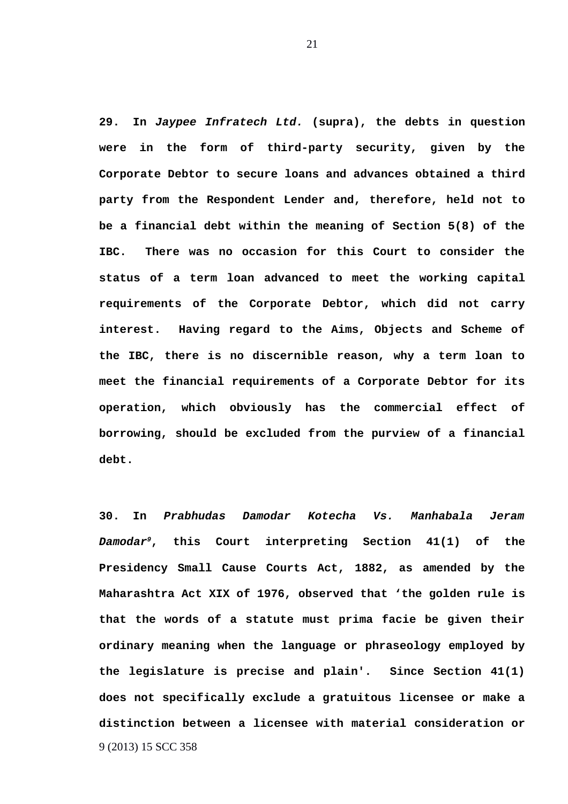**29. In** *Jaypee Infratech Ltd.* **(supra), the debts in question were in the form of third-party security, given by the Corporate Debtor to secure loans and advances obtained a third party from the Respondent Lender and, therefore, held not to be a financial debt within the meaning of Section 5(8) of the IBC. There was no occasion for this Court to consider the status of a term loan advanced to meet the working capital requirements of the Corporate Debtor, which did not carry interest. Having regard to the Aims, Objects and Scheme of the IBC, there is no discernible reason, why a term loan to meet the financial requirements of a Corporate Debtor for its operation, which obviously has the commercial effect of borrowing, should be excluded from the purview of a financial debt.** 

<span id="page-20-0"></span>**30. In** *Prabhudas Damodar Kotecha Vs. Manhabala Jeram Damodar[9](#page-20-0)***, this Court interpreting Section 41(1) of the Presidency Small Cause Courts Act, 1882, as amended by the Maharashtra Act XIX of 1976, observed that 'the golden rule is that the words of a statute must prima facie be given their ordinary meaning when the language or phraseology employed by the legislature is precise and plain'. Since Section 41(1) does not specifically exclude a gratuitous licensee or make a distinction between a licensee with material consideration or** 9 (2013) 15 SCC 358

21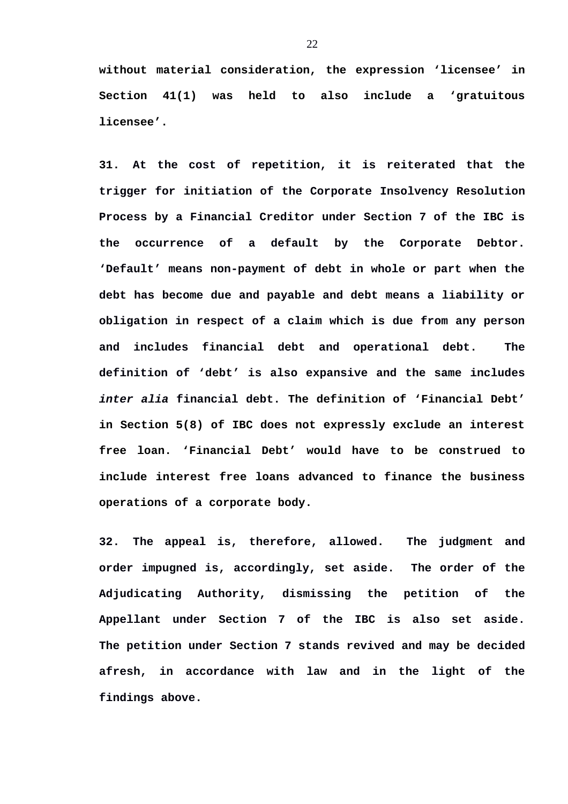**without material consideration, the expression 'licensee' in Section 41(1) was held to also include a 'gratuitous licensee'.**

**31. At the cost of repetition, it is reiterated that the trigger for initiation of the Corporate Insolvency Resolution Process by a Financial Creditor under Section 7 of the IBC is the occurrence of a default by the Corporate Debtor. 'Default' means non-payment of debt in whole or part when the debt has become due and payable and debt means a liability or obligation in respect of a claim which is due from any person and includes financial debt and operational debt. The definition of 'debt' is also expansive and the same includes** *inter alia* **financial debt. The definition of 'Financial Debt' in Section 5(8) of IBC does not expressly exclude an interest free loan. 'Financial Debt' would have to be construed to include interest free loans advanced to finance the business operations of a corporate body.** 

**32. The appeal is, therefore, allowed. The judgment and order impugned is, accordingly, set aside. The order of the Adjudicating Authority, dismissing the petition of the Appellant under Section 7 of the IBC is also set aside. The petition under Section 7 stands revived and may be decided afresh, in accordance with law and in the light of the findings above.**